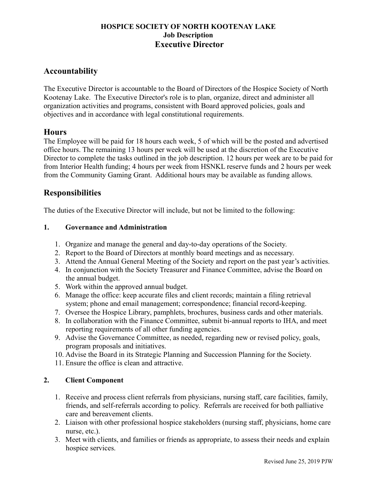### HOSPICE SOCIETY OF NORTH KOOTENAY LAKE Job Description Executive Director

## Accountability

The Executive Director is accountable to the Board of Directors of the Hospice Society of North Kootenay Lake. The Executive Director's role is to plan, organize, direct and administer all organization activities and programs, consistent with Board approved policies, goals and objectives and in accordance with legal constitutional requirements.

## **Hours**

The Employee will be paid for 18 hours each week, 5 of which will be the posted and advertised office hours. The remaining 13 hours per week will be used at the discretion of the Executive Director to complete the tasks outlined in the job description. 12 hours per week are to be paid for from Interior Health funding; 4 hours per week from HSNKL reserve funds and 2 hours per week from the Community Gaming Grant. Additional hours may be available as funding allows.

# **Responsibilities**

The duties of the Executive Director will include, but not be limited to the following:

### 1. Governance and Administration

- 1. Organize and manage the general and day-to-day operations of the Society.
- 2. Report to the Board of Directors at monthly board meetings and as necessary.
- 3. Attend the Annual General Meeting of the Society and report on the past year's activities.
- 4. In conjunction with the Society Treasurer and Finance Committee, advise the Board on the annual budget.
- 5. Work within the approved annual budget.
- 6. Manage the office: keep accurate files and client records; maintain a filing retrieval system; phone and email management; correspondence; financial record-keeping.
- 7. Oversee the Hospice Library, pamphlets, brochures, business cards and other materials.
- 8. In collaboration with the Finance Committee, submit bi-annual reports to IHA, and meet reporting requirements of all other funding agencies.
- 9. Advise the Governance Committee, as needed, regarding new or revised policy, goals, program proposals and initiatives.
- 10. Advise the Board in its Strategic Planning and Succession Planning for the Society.
- 11. Ensure the office is clean and attractive.

### 2. Client Component

- 1. Receive and process client referrals from physicians, nursing staff, care facilities, family, friends, and self-referrals according to policy. Referrals are received for both palliative care and bereavement clients.
- 2. Liaison with other professional hospice stakeholders (nursing staff, physicians, home care nurse, etc.).
- 3. Meet with clients, and families or friends as appropriate, to assess their needs and explain hospice services.